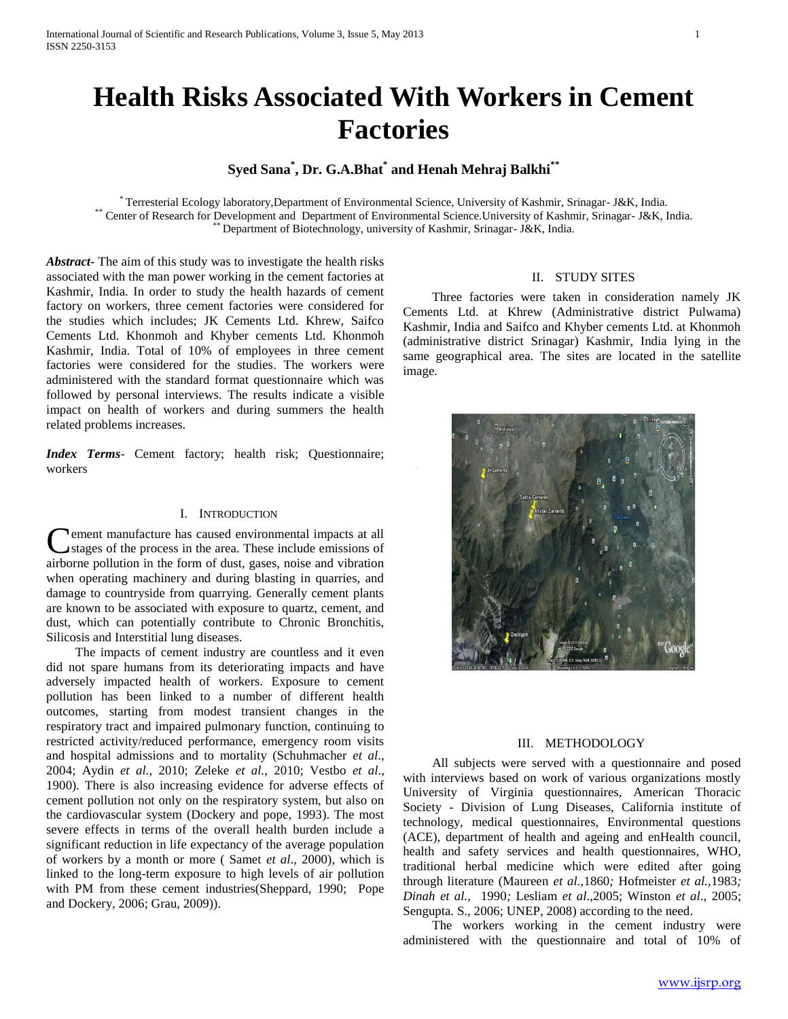# **Health Risks Associated With Workers in Cement Factories**

# **Syed Sana\* , Dr. G.A.Bhat\* and Henah Mehraj Balkhi\*\***

\* Terresterial Ecology laboratory,Department of Environmental Science, University of Kashmir, Srinagar- J&K, India. \*\* Center of Research for Development and Department of Environmental Science.University of Kashmir, Srinagar- J&K, India. Department of Biotechnology, university of Kashmir, Srinagar- J&K, India.

*Abstract***-** The aim of this study was to investigate the health risks associated with the man power working in the cement factories at Kashmir, India. In order to study the health hazards of cement factory on workers, three cement factories were considered for the studies which includes; JK Cements Ltd. Khrew, Saifco Cements Ltd. Khonmoh and Khyber cements Ltd. Khonmoh Kashmir, India. Total of 10% of employees in three cement factories were considered for the studies. The workers were administered with the standard format questionnaire which was followed by personal interviews. The results indicate a visible impact on health of workers and during summers the health related problems increases.

*Index Terms*- Cement factory; health risk; Questionnaire; workers

#### I. INTRODUCTION

ement manufacture has caused environmental impacts at all stages of the process in the area. These include emissions of airborne pollution in the form of dust, gases, noise and vibration when operating machinery and during blasting in quarries, and damage to countryside from quarrying. Generally cement plants are known to be associated with exposure to quartz, cement, and dust, which can potentially contribute to Chronic Bronchitis, Silicosis and Interstitial lung diseases. C

 The impacts of cement industry are countless and it even did not spare humans from its deteriorating impacts and have adversely impacted health of workers. Exposure to cement pollution has been linked to a number of different health outcomes, starting from modest transient changes in the respiratory tract and impaired pulmonary function, continuing to restricted activity/reduced performance, emergency room visits and hospital admissions and to mortality (Schuhmacher *et al*., 2004; Aydin *et al.*, 2010; Zeleke *et al.*, 2010; Vestbo *et al*., 1900). There is also increasing evidence for adverse effects of cement pollution not only on the respiratory system, but also on the cardiovascular system (Dockery and pope, 1993). The most severe effects in terms of the overall health burden include a significant reduction in life expectancy of the average population of workers by a month or more ( Samet *et al*., 2000), which is linked to the long-term exposure to high levels of air pollution with PM from these cement industries(Sheppard, 1990; Pope and Dockery, 2006; Grau, 2009)).

#### II. STUDY SITES

 Three factories were taken in consideration namely JK Cements Ltd. at Khrew (Administrative district Pulwama) Kashmir, India and Saifco and Khyber cements Ltd. at Khonmoh (administrative district Srinagar) Kashmir, India lying in the same geographical area. The sites are located in the satellite image.



#### III. METHODOLOGY

 All subjects were served with a questionnaire and posed with interviews based on work of various organizations mostly University of Virginia questionnaires, American Thoracic Society - Division of Lung Diseases, California institute of technology, medical questionnaires, Environmental questions (ACE), department of health and ageing and enHealth council, health and safety services and health questionnaires, WHO, traditional herbal medicine which were edited after going through literature (Maureen *et al.,*1860*;* Hofmeister *et al.,*1983*; Dinah et al.,* 1990*;* Lesliam *et al*.,2005; Winston *et al*., 2005; Sengupta. S., 2006; UNEP, 2008) according to the need.

 The workers working in the cement industry were administered with the questionnaire and total of 10% of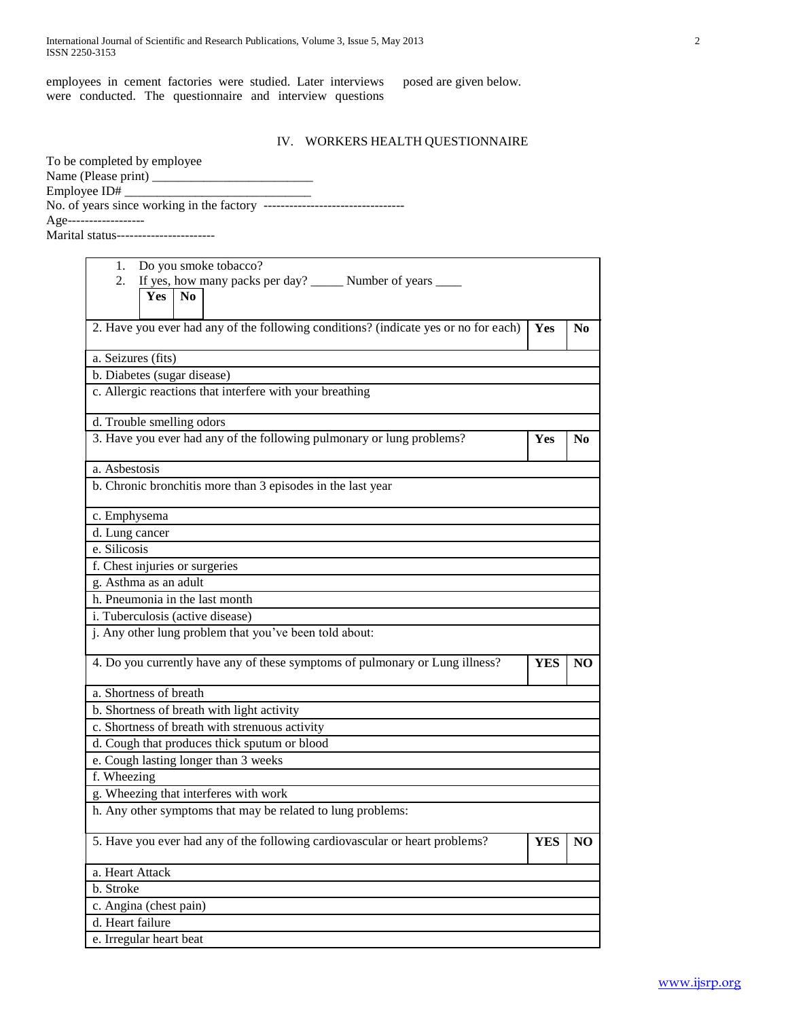employees in cement factories were studied. Later interviews were conducted. The questionnaire and interview questions

posed are given below.

# IV. WORKERS HEALTH QUESTIONNAIRE

| To be completed by employee            |
|----------------------------------------|
|                                        |
|                                        |
|                                        |
| Age--------------------                |
| Marital status------------------------ |

| Do you smoke tobacco?<br>1.                                                         |            |                |
|-------------------------------------------------------------------------------------|------------|----------------|
| If yes, how many packs per day? _______ Number of years _____<br>2.                 |            |                |
| Yes<br>N <sub>0</sub>                                                               |            |                |
|                                                                                     |            |                |
| 2. Have you ever had any of the following conditions? (indicate yes or no for each) | Yes        | N <sub>0</sub> |
| a. Seizures (fits)                                                                  |            |                |
| b. Diabetes (sugar disease)                                                         |            |                |
| c. Allergic reactions that interfere with your breathing                            |            |                |
|                                                                                     |            |                |
| d. Trouble smelling odors                                                           |            |                |
| 3. Have you ever had any of the following pulmonary or lung problems?               | Yes        | N <sub>0</sub> |
| a. Asbestosis                                                                       |            |                |
| b. Chronic bronchitis more than 3 episodes in the last year                         |            |                |
| c. Emphysema                                                                        |            |                |
| d. Lung cancer                                                                      |            |                |
| e. Silicosis                                                                        |            |                |
| f. Chest injuries or surgeries                                                      |            |                |
| g. Asthma as an adult                                                               |            |                |
| h. Pneumonia in the last month                                                      |            |                |
| i. Tuberculosis (active disease)                                                    |            |                |
| j. Any other lung problem that you've been told about:                              |            |                |
| 4. Do you currently have any of these symptoms of pulmonary or Lung illness?        | <b>YES</b> | NO             |
| a. Shortness of breath                                                              |            |                |
| b. Shortness of breath with light activity                                          |            |                |
| c. Shortness of breath with strenuous activity                                      |            |                |
| d. Cough that produces thick sputum or blood                                        |            |                |
| e. Cough lasting longer than 3 weeks                                                |            |                |
| f. Wheezing                                                                         |            |                |
| g. Wheezing that interferes with work                                               |            |                |
| h. Any other symptoms that may be related to lung problems:                         |            |                |
| 5. Have you ever had any of the following cardiovascular or heart problems?         | YES        | N <sub>O</sub> |
| a. Heart Attack                                                                     |            |                |
| b. Stroke                                                                           |            |                |
| c. Angina (chest pain)                                                              |            |                |
| d. Heart failure                                                                    |            |                |
| e. Irregular heart beat                                                             |            |                |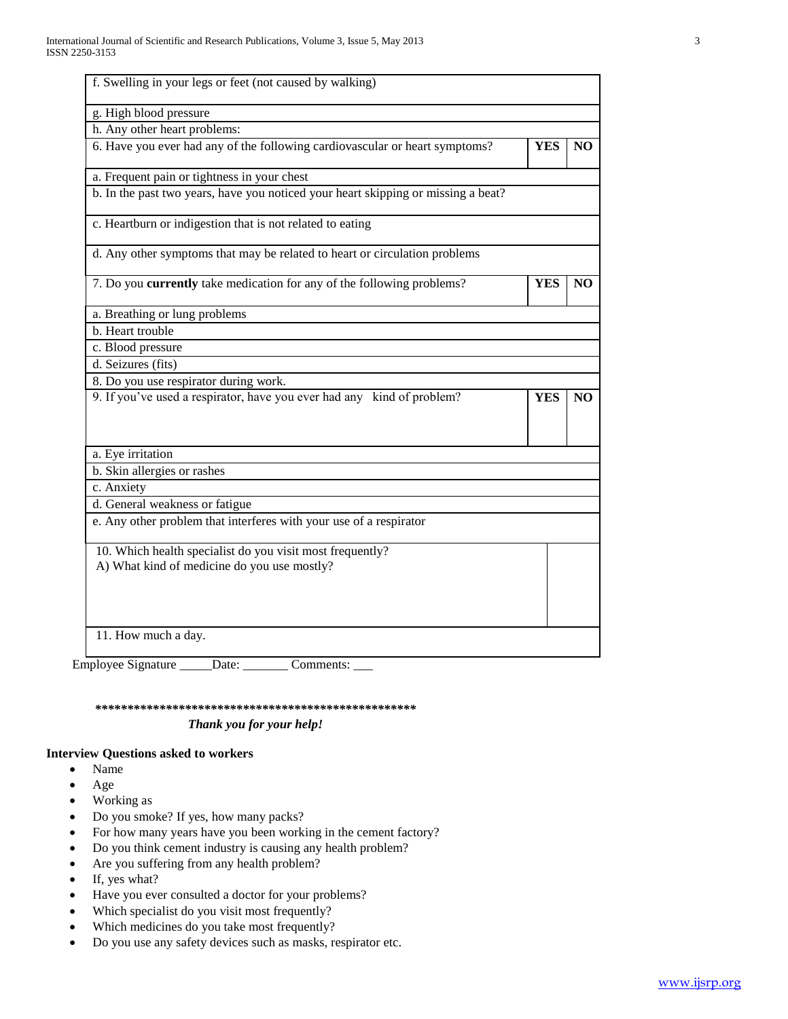| g. High blood pressure                                                                                   |            |                 |
|----------------------------------------------------------------------------------------------------------|------------|-----------------|
| h. Any other heart problems:                                                                             |            |                 |
| 6. Have you ever had any of the following cardiovascular or heart symptoms?                              | <b>YES</b> | N <sub>O</sub>  |
| a. Frequent pain or tightness in your chest                                                              |            |                 |
| b. In the past two years, have you noticed your heart skipping or missing a beat?                        |            |                 |
| c. Heartburn or indigestion that is not related to eating                                                |            |                 |
| d. Any other symptoms that may be related to heart or circulation problems                               |            |                 |
| 7. Do you currently take medication for any of the following problems?                                   | <b>YES</b> | NO <sub>1</sub> |
| a. Breathing or lung problems                                                                            |            |                 |
| b. Heart trouble                                                                                         |            |                 |
| c. Blood pressure                                                                                        |            |                 |
| d. Seizures (fits)                                                                                       |            |                 |
| 8. Do you use respirator during work.                                                                    |            |                 |
| 9. If you've used a respirator, have you ever had any kind of problem?                                   | <b>YES</b> | NO.             |
| a. Eye irritation                                                                                        |            |                 |
| b. Skin allergies or rashes                                                                              |            |                 |
| c. Anxiety                                                                                               |            |                 |
| d. General weakness or fatigue                                                                           |            |                 |
|                                                                                                          |            |                 |
| e. Any other problem that interferes with your use of a respirator                                       |            |                 |
| 10. Which health specialist do you visit most frequently?<br>A) What kind of medicine do you use mostly? |            |                 |

 *\*\*\*\*\*\*\*\*\*\*\*\*\*\*\*\*\*\*\*\*\*\*\*\*\*\*\*\*\*\*\*\*\*\*\*\*\*\*\*\*\*\*\*\*\*\*\*\*\*\* Thank you for your help!*

#### **Interview Questions asked to workers**

- Name
- Age
- Working as
- Do you smoke? If yes, how many packs?
- For how many years have you been working in the cement factory?
- Do you think cement industry is causing any health problem?
- Are you suffering from any health problem?
- If, yes what?
- Have you ever consulted a doctor for your problems?
- Which specialist do you visit most frequently?
- Which medicines do you take most frequently?
- Do you use any safety devices such as masks, respirator etc.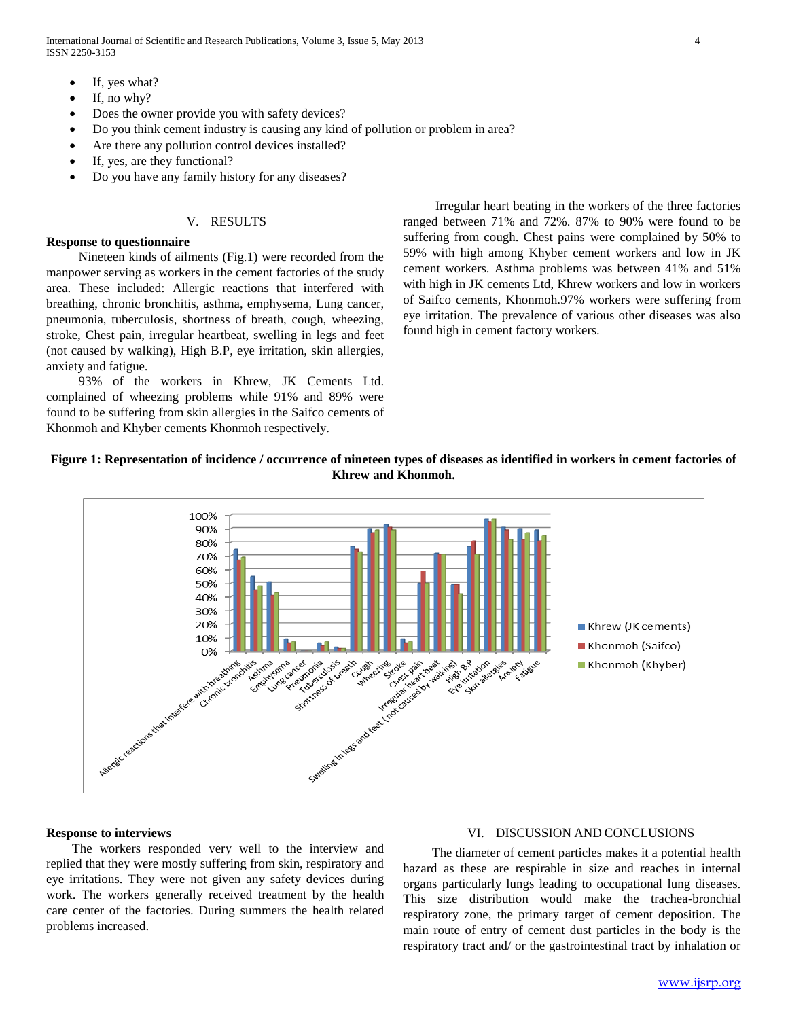International Journal of Scientific and Research Publications, Volume 3, Issue 5, May 2013 4 ISSN 2250-3153

- If, yes what?
- If, no why?
- Does the owner provide you with safety devices?
- Do you think cement industry is causing any kind of pollution or problem in area?
- Are there any pollution control devices installed?
- If, yes, are they functional?
- Do you have any family history for any diseases?

# V. RESULTS

## **Response to questionnaire**

 Nineteen kinds of ailments (Fig.1) were recorded from the manpower serving as workers in the cement factories of the study area. These included: Allergic reactions that interfered with breathing, chronic bronchitis, asthma, emphysema, Lung cancer, pneumonia, tuberculosis, shortness of breath, cough, wheezing, stroke, Chest pain, irregular heartbeat, swelling in legs and feet (not caused by walking), High B.P, eye irritation, skin allergies, anxiety and fatigue.

 93% of the workers in Khrew, JK Cements Ltd. complained of wheezing problems while 91% and 89% were found to be suffering from skin allergies in the Saifco cements of Khonmoh and Khyber cements Khonmoh respectively.

 Irregular heart beating in the workers of the three factories ranged between 71% and 72%. 87% to 90% were found to be suffering from cough. Chest pains were complained by 50% to 59% with high among Khyber cement workers and low in JK cement workers. Asthma problems was between 41% and 51% with high in JK cements Ltd, Khrew workers and low in workers of Saifco cements, Khonmoh.97% workers were suffering from eye irritation. The prevalence of various other diseases was also found high in cement factory workers.

# **Figure 1: Representation of incidence / occurrence of nineteen types of diseases as identified in workers in cement factories of Khrew and Khonmoh.**



### **Response to interviews**

The workers responded very well to the interview and replied that they were mostly suffering from skin, respiratory and eye irritations. They were not given any safety devices during work. The workers generally received treatment by the health care center of the factories. During summers the health related problems increased.

### VI. DISCUSSION AND CONCLUSIONS

 The diameter of cement particles makes it a potential health hazard as these are respirable in size and reaches in internal organs particularly lungs leading to occupational lung diseases. This size distribution would make the trachea-bronchial respiratory zone, the primary target of cement deposition. The main route of entry of cement dust particles in the body is the respiratory tract and/ or the gastrointestinal tract by inhalation or